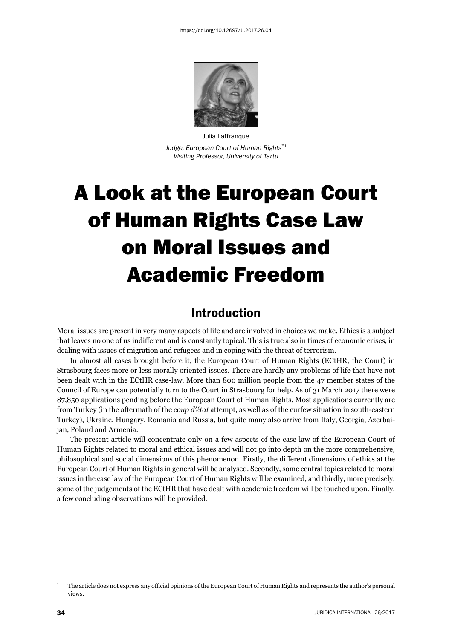

Julia Laffranque *Judge, European Court of Human Rights*\*1 *Visiting Professor, University of Tartu*

# A Look at the European Court of Human Rights Case Law on Moral Issues and Academic Freedom

### Introduction

Moral issues are present in very many aspects of life and are involved in choices we make. Ethics is a subject that leaves no one of us indifferent and is constantly topical. This is true also in times of economic crises, in dealing with issues of migration and refugees and in coping with the threat of terrorism.

In almost all cases brought before it, the European Court of Human Rights (ECtHR, the Court) in Strasbourg faces more or less morally oriented issues. There are hardly any problems of life that have not been dealt with in the ECtHR case-law. More than 800 million people from the 47 member states of the Council of Europe can potentially turn to the Court in Strasbourg for help. As of 31 March 2017 there were 87,850 applications pending before the European Court of Human Rights. Most applications currently are from Turkey (in the aftermath of the *coup d'état* attempt, as well as of the curfew situation in south-eastern Turkey), Ukraine, Hungary, Romania and Russia, but quite many also arrive from Italy, Georgia, Azerbaijan, Poland and Armenia.

The present article will concentrate only on a few aspects of the case law of the European Court of Human Rights related to moral and ethical issues and will not go into depth on the more comprehensive, philosophical and social dimensions of this phenomenon. Firstly, the different dimensions of ethics at the European Court of Human Rights in general will be analysed. Secondly, some central topics related to moral issues in the case law of the European Court of Human Rights will be examined, and thirdly, more precisely, some of the judgements of the ECtHR that have dealt with academic freedom will be touched upon. Finally, a few concluding observations will be provided.

<sup>&</sup>lt;sup>1</sup> The article does not express any official opinions of the European Court of Human Rights and represents the author's personal views.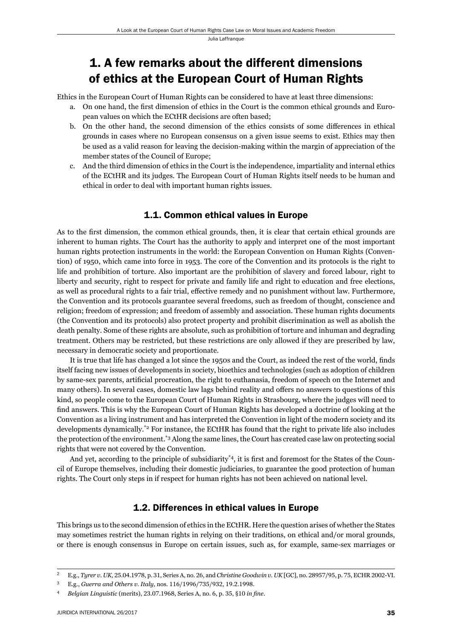Julia Laffranque

## 1. A few remarks about the different dimensions of ethics at the European Court of Human Rights

Ethics in the European Court of Human Rights can be considered to have at least three dimensions:

- a. On one hand, the first dimension of ethics in the Court is the common ethical grounds and European values on which the ECtHR decisions are often based;
- b. On the other hand, the second dimension of the ethics consists of some differences in ethical grounds in cases where no European consensus on a given issue seems to exist. Ethics may then be used as a valid reason for leaving the decision-making within the margin of appreciation of the member states of the Council of Europe;
- c. And the third dimension of ethics in the Court is the independence, impartiality and internal ethics of the ECtHR and its judges. The European Court of Human Rights itself needs to be human and ethical in order to deal with important human rights issues.

#### 1.1. Common ethical values in Europe

As to the first dimension, the common ethical grounds, then, it is clear that certain ethical grounds are inherent to human rights. The Court has the authority to apply and interpret one of the most important human rights protection instruments in the world: the European Convention on Human Rights (Convention) of 1950, which came into force in 1953. The core of the Convention and its protocols is the right to life and prohibition of torture. Also important are the prohibition of slavery and forced labour, right to liberty and security, right to respect for private and family life and right to education and free elections, as well as procedural rights to a fair trial, effective remedy and no punishment without law. Furthermore, the Convention and its protocols guarantee several freedoms, such as freedom of thought, conscience and religion; freedom of expression; and freedom of assembly and association. These human rights documents (the Convention and its protocols) also protect property and prohibit discrimination as well as abolish the death penalty. Some of these rights are absolute, such as prohibition of torture and inhuman and degrading treatment. Others may be restricted, but these restrictions are only allowed if they are prescribed by law, necessary in democratic society and proportionate.

It is true that life has changed a lot since the 1950s and the Court, as indeed the rest of the world, finds itself facing new issues of developments in society, bioethics and technologies (such as adoption of children by same-sex parents, artificial procreation, the right to euthanasia, freedom of speech on the Internet and many others). In several cases, domestic law lags behind reality and offers no answers to questions of this kind, so people come to the European Court of Human Rights in Strasbourg, where the judges will need to find answers. This is why the European Court of Human Rights has developed a doctrine of looking at the Convention as a living instrument and has interpreted the Convention in light of the modern society and its developments dynamically.\*2 For instance, the ECtHR has found that the right to private life also includes the protection of the environment.\*3 Along the same lines, the Court has created case law on protecting social rights that were not covered by the Convention.

And yet, according to the principle of subsidiarity<sup> $*4$ </sup>, it is first and foremost for the States of the Council of Europe themselves, including their domestic judiciaries, to guarantee the good protection of human rights. The Court only steps in if respect for human rights has not been achieved on national level.

#### 1.2. Differences in ethical values in Europe

This brings us to the second dimension of ethics in the ECtHR. Here the question arises of whether the States may sometimes restrict the human rights in relying on their traditions, on ethical and/or moral grounds, or there is enough consensus in Europe on certain issues, such as, for example, same-sex marriages or

<sup>&</sup>lt;sup>2</sup> E.g., *Tyrer v. UK,* 25.04.1978, p. 31, Series A, no. 26, and *Christine Goodwin v. UK* [GC], no. 28957/95, p. 75, ECHR 2002-VI.

E.g., *Guerra and Others v. Italy, nos.* 116/1996/735/932, 19.2.1998.

<sup>&</sup>lt;sup>4</sup> *Belgian Linguistic* (merits), 23.07.1968, Series A, no. 6, p. 35, §10 in fine.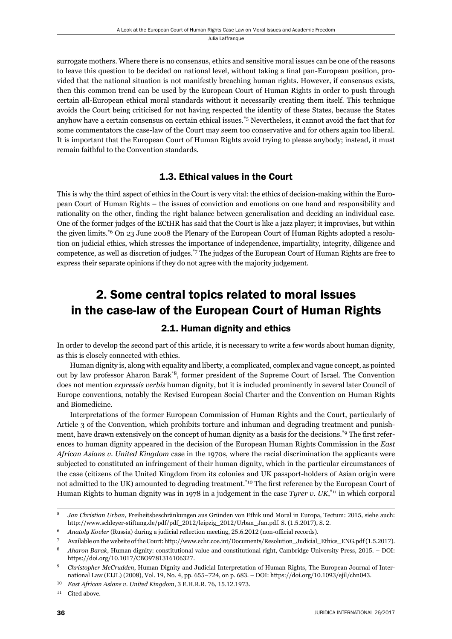surrogate mothers. Where there is no consensus, ethics and sensitive moral issues can be one of the reasons to leave this question to be decided on national level, without taking a final pan-European position, provided that the national situation is not manifestly breaching human rights. However, if consensus exists, then this common trend can be used by the European Court of Human Rights in order to push through certain all-European ethical moral standards without it necessarily creating them itself. This technique avoids the Court being criticised for not having respected the identity of these States, because the States anyhow have a certain consensus on certain ethical issues.\*5 Nevertheless, it cannot avoid the fact that for some commentators the case-law of the Court may seem too conservative and for others again too liberal. It is important that the European Court of Human Rights avoid trying to please anybody; instead, it must remain faithful to the Convention standards.

#### 1.3. Ethical values in the Court

This is why the third aspect of ethics in the Court is very vital: the ethics of decision-making within the European Court of Human Rights – the issues of conviction and emotions on one hand and responsibility and rationality on the other, finding the right balance between generalisation and deciding an individual case. One of the former judges of the ECtHR has said that the Court is like a jazz player; it improvises, but within the given limits.\*6 On 23 June 2008 the Plenary of the European Court of Human Rights adopted a resolution on judicial ethics, which stresses the importance of independence, impartiality, integrity, diligence and competence, as well as discretion of judges.\*7 The judges of the European Court of Human Rights are free to express their separate opinions if they do not agree with the majority judgement.

## 2. Some central topics related to moral issues in the case-law of the European Court of Human Rights

#### 2.1. Human dignity and ethics

In order to develop the second part of this article, it is necessary to write a few words about human dignity, as this is closely connected with ethics.

Human dignity is, along with equality and liberty, a complicated, complex and vague concept, as pointed out by law professor Aharon Barak\*8, former president of the Supreme Court of Israel. The Convention does not mention *expressis verbis* human dignity, but it is included prominently in several later Council of Europe conventions, notably the Revised European Social Charter and the Convention on Human Rights and Biomedicine.

Interpretations of the former European Commission of Human Rights and the Court, particularly of Article 3 of the Convention, which prohibits torture and inhuman and degrading treatment and punishment, have drawn extensively on the concept of human dignity as a basis for the decisions.<sup>\*9</sup> The first references to human dignity appeared in the decision of the European Human Rights Commission in the *East African Asians v. United Kingdom* case in the 1970s, where the racial discrimination the applicants were subjected to constituted an infringement of their human dignity, which in the particular circumstances of the case (citizens of the United Kingdom from its colonies and UK passport-holders of Asian origin were not admitted to the UK) amounted to degrading treatment.<sup>\*10</sup> The first reference by the European Court of Human Rights to human dignity was in 1978 in a judgement in the case *Tyrer v. UK*, \*11 in which corporal

<sup>11</sup> Cited above.

<sup>&</sup>lt;sup>5</sup> Jan Christian Urban, Freiheitsbeschränkungen aus Gründen von Ethik und Moral in Europa, Tectum: 2015, siehe auch: http://www.schleyer-stiftung.de/pdf/pdf\_2012/leipzig\_2012/Urban\_Jan.pdf. S. (1.5.2017), S. 2.

Anatoly Kovler (Russia) during a judicial reflection meeting, 25.6.2012 (non-official records).

Available on the website of the Court: http://www.echr.coe.int/Documents/Resolution\_Judicial\_Ethics\_ENG.pdf (1.5.2017).

Aharon Barak, Human dignity: constitutional value and constitutional right, Cambridge University Press, 2015. – DOI: https://doi.org/10.1017/CBO9781316106327.

<sup>ɺ</sup> *Christopher McCrudden*, Human Dignity and Judicial Interpretation of Human Rights, The European Journal of International Law (EIJL) (2008), Vol. 19, No. 4, pp. 655-724, on p. 683. – DOI: https://doi.org/10.1093/ejil/chn043.

<sup>&</sup>lt;sup>10</sup> *East African Asians v. United Kingdom*, 3 E.H.R.R. 76, 15.12.1973.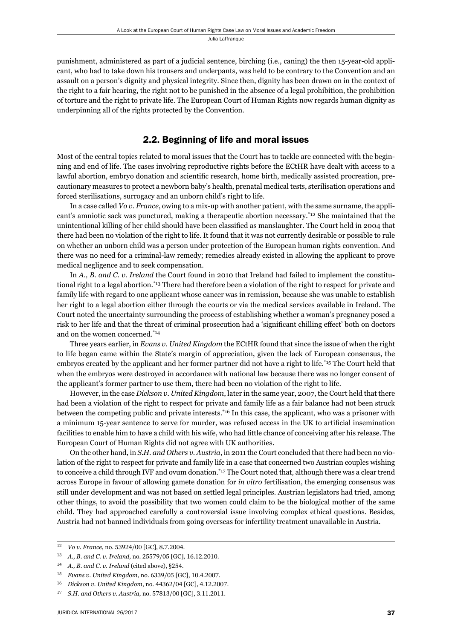punishment, administered as part of a judicial sentence, birching (i.e., caning) the then 15-year-old applicant, who had to take down his trousers and underpants, was held to be contrary to the Convention and an assault on a person's dignity and physical integrity. Since then, dignity has been drawn on in the context of the right to a fair hearing, the right not to be punished in the absence of a legal prohibition, the prohibition of torture and the right to private life. The European Court of Human Rights now regards human dignity as underpinning all of the rights protected by the Convention.

#### 2.2. Beginning of life and moral issues

Most of the central topics related to moral issues that the Court has to tackle are connected with the beginning and end of life. The cases involving reproductive rights before the ECtHR have dealt with access to a lawful abortion, embryo donation and scientific research, home birth, medically assisted procreation, precautionary measures to protect a newborn baby's health, prenatal medical tests, sterilisation operations and forced sterilisations, surrogacy and an unborn child's right to life.

In a case called *Vo v. France*, owing to a mix-up with another patient, with the same surname, the applicant's amniotic sack was punctured, making a therapeutic abortion necessary.\*12 She maintained that the unintentional killing of her child should have been classified as manslaughter. The Court held in 2004 that there had been no violation of the right to life. It found that it was not currently desirable or possible to rule on whether an unborn child was a person under protection of the European human rights convention. And there was no need for a criminal-law remedy; remedies already existed in allowing the applicant to prove medical negligence and to seek compensation.

In *A., B. and C. v. Ireland* the Court found in 2010 that Ireland had failed to implement the constitutional right to a legal abortion.\*13 There had therefore been a violation of the right to respect for private and family life with regard to one applicant whose cancer was in remission, because she was unable to establish her right to a legal abortion either through the courts or via the medical services available in Ireland. The Court noted the uncertainty surrounding the process of establishing whether a woman's pregnancy posed a risk to her life and that the threat of criminal prosecution had a 'significant chilling effect' both on doctors and on the women concerned.\*14

Three years earlier, in *Evans v. United Kingdom* the ECtHR found that since the issue of when the right to life began came within the State's margin of appreciation, given the lack of European consensus, the embryos created by the applicant and her former partner did not have a right to life.\*15 The Court held that when the embryos were destroyed in accordance with national law because there was no longer consent of the applicant's former partner to use them, there had been no violation of the right to life.

However, in the case *Dickson v. United Kingdom*, later in the same year, 2007, the Court held that there had been a violation of the right to respect for private and family life as a fair balance had not been struck between the competing public and private interests.<sup>\*16</sup> In this case, the applicant, who was a prisoner with a minimum 15-year sentence to serve for murder, was refused access in the UK to artificial insemination facilities to enable him to have a child with his wife, who had little chance of conceiving after his release. The European Court of Human Rights did not agree with UK authorities.

On the other hand, in *S.H. and Others v. Austria*, in 2011 the Court concluded that there had been no violation of the right to respect for private and family life in a case that concerned two Austrian couples wishing to conceive a child through IVF and ovum donation.<sup>\*17</sup> The Court noted that, although there was a clear trend across Europe in favour of allowing gamete donation for *in vitro* fertilisation, the emerging consensus was still under development and was not based on settled legal principles. Austrian legislators had tried, among other things, to avoid the possibility that two women could claim to be the biological mother of the same child. They had approached carefully a controversial issue involving complex ethical questions. Besides, Austria had not banned individuals from going overseas for infertility treatment unavailable in Austria.

<sup>12</sup> *Vo v. France*, no. 53924/00 [GC], 8.7.2004.

<sup>13</sup> *A., B. and C. v. Ireland, no.*  $25579/05$  [GC], 16.12.2010.

<sup>14</sup> A., B. and C. v. Ireland (cited above), §254.

<sup>15</sup> Evans v. United Kingdom, no. 6339/05 [GC], 10.4.2007.

<sup>16</sup> *Dickson v. United Kingdom*, no. 44362/04 [GC], 4.12.2007.

<sup>17</sup> S.H. and Others v. Austria, no. 57813/00 [GC], 3.11.2011.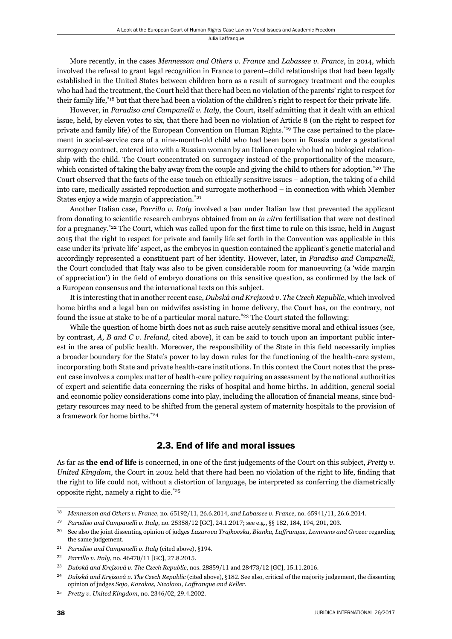More recently, in the cases *Mennesson and Others v. France* and *Labassee v. France*, in 2014, which involved the refusal to grant legal recognition in France to parent–child relationships that had been legally established in the United States between children born as a result of surrogacy treatment and the couples who had had the treatment, the Court held that there had been no violation of the parents' right to respect for their family life,\*18 but that there had been a violation of the children's right to respect for their private life.

However, in *Paradiso and Campanelli v. Italy*, the Court, itself admitting that it dealt with an ethical issue, held, by eleven votes to six, that there had been no violation of Article 8 (on the right to respect for private and family life) of the European Convention on Human Rights.\*19 The case pertained to the placement in social-service care of a nine-month-old child who had been born in Russia under a gestational surrogacy contract, entered into with a Russian woman by an Italian couple who had no biological relationship with the child. The Court concentrated on surrogacy instead of the proportionality of the measure, which consisted of taking the baby away from the couple and giving the child to others for adoption.<sup>\*20</sup> The Court observed that the facts of the case touch on ethically sensitive issues – adoption, the taking of a child into care, medically assisted reproduction and surrogate motherhood – in connection with which Member States enjoy a wide margin of appreciation.\*21

Another Italian case, *Parrillo v. Italy* involved a ban under Italian law that prevented the applicant from donating to scientific research embryos obtained from an *in vitro* fertilisation that were not destined for a pregnancy.<sup>\*22</sup> The Court, which was called upon for the first time to rule on this issue, held in August 2015 that the right to respect for private and family life set forth in the Convention was applicable in this case under its 'private life' aspect, as the embryos in question contained the applicant's genetic material and accordingly represented a constituent part of her identity. However, later, in *Paradiso and Campanelli*, the Court concluded that Italy was also to be given considerable room for manoeuvring (a 'wide margin of appreciation') in the field of embryo donations on this sensitive question, as confirmed by the lack of a European consensus and the international texts on this subject.

It is interesting that in another recent case, *Dubská and Krejzová v. The Czech Republic*, which involved home births and a legal ban on midwifes assisting in home delivery, the Court has, on the contrary, not found the issue at stake to be of a particular moral nature.<sup>\*23</sup> The Court stated the following:

While the question of home birth does not as such raise acutely sensitive moral and ethical issues (see, by contrast, *A, B and C v. Ireland*, cited above), it can be said to touch upon an important public interest in the area of public health. Moreover, the responsibility of the State in this field necessarily implies a broader boundary for the State's power to lay down rules for the functioning of the health-care system, incorporating both State and private health-care institutions. In this context the Court notes that the present case involves a complex matter of health-care policy requiring an assessment by the national authorities of expert and scientific data concerning the risks of hospital and home births. In addition, general social and economic policy considerations come into play, including the allocation of financial means, since budgetary resources may need to be shifted from the general system of maternity hospitals to the provision of a framework for home births.\*24

#### 2.3. End of life and moral issues

As far as **the end of life** is concerned, in one of the first judgements of the Court on this subject, *Pretty v. United Kingdom*, the Court in 2002 held that there had been no violation of the right to life, finding that the right to life could not, without a distortion of language, be interpreted as conferring the diametrically opposite right, namely a right to die.\*25

<sup>&</sup>lt;sup>18</sup> Mennesson and Others v. France, no. 65192/11, 26.6.2014, and Labassee v. France, no. 65941/11, 26.6.2014.

<sup>&</sup>lt;sup>19</sup> *Paradiso and Campanelli v. Italy*, no. 25358/12 [GC], 24.1.2017; see e.g., §§ 182, 184, 194, 201, 203.

<sup>&</sup>lt;sup>20</sup> See also the joint dissenting opinion of judges *Lazarova Trajkovska, Bianku, Laffranque, Lemmens and Grozev* regarding the same judgement.

<sup>&</sup>lt;sup>21</sup> *Paradiso and Campanelli v. Italy* (cited above), §194.

<sup>&</sup>lt;sup>22</sup> *Parrillo v. Italy*, no. 46470/11 [GC], 27.8.2015.

<sup>&</sup>lt;sup>23</sup> Dubská and Krejzová v. The Czech Republic, nos.  $28859/11$  and  $28473/12$  [GC], 15.11.2016.

<sup>&</sup>lt;sup>24</sup> Dubská and Krejzová v. The Czech Republic (cited above), §182. See also, critical of the majority judgement, the dissenting opinion of judges *Sajo, Karakas, Nicolaou, Laff ranque and Keller*.

<sup>&</sup>lt;sup>25</sup> *Pretty v. United Kingdom, no.* 2346/02, 29.4.2002.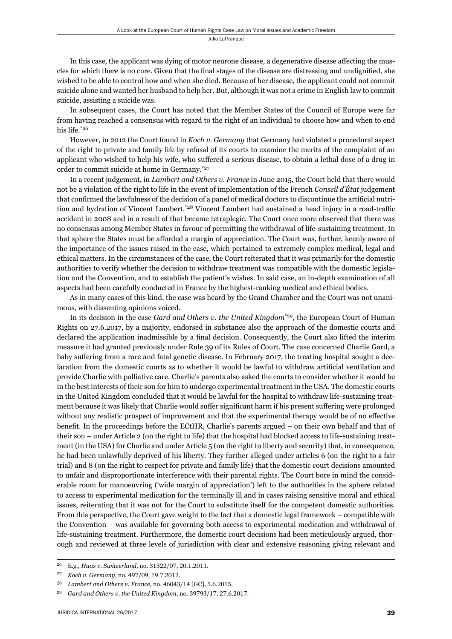In this case, the applicant was dying of motor neurone disease, a degenerative disease affecting the muscles for which there is no cure. Given that the final stages of the disease are distressing and undignified, she wished to be able to control how and when she died. Because of her disease, the applicant could not commit suicide alone and wanted her husband to help her. But, although it was not a crime in English law to commit suicide, assisting a suicide was.

In subsequent cases, the Court has noted that the Member States of the Council of Europe were far from having reached a consensus with regard to the right of an individual to choose how and when to end his life.\*26

However, in 2012 the Court found in *Koch v. Germany* that Germany had violated a procedural aspect of the right to private and family life by refusal of its courts to examine the merits of the complaint of an applicant who wished to help his wife, who suffered a serious disease, to obtain a lethal dose of a drug in order to commit suicide at home in Germany.\*27

In a recent judgement, in *Lambert and Others v. France* in June 2015, the Court held that there would not be a violation of the right to life in the event of implementation of the French *Conseil d'État* judgement that confirmed the lawfulness of the decision of a panel of medical doctors to discontinue the artificial nutrition and hydration of Vincent Lambert.<sup>\*28</sup> Vincent Lambert had sustained a head injury in a road-traffic accident in 2008 and in a result of that became tetraplegic. The Court once more observed that there was no consensus among Member States in favour of permitting the withdrawal of life-sustaining treatment. In that sphere the States must be afforded a margin of appreciation. The Court was, further, keenly aware of the importance of the issues raised in the case, which pertained to extremely complex medical, legal and ethical matters. In the circumstances of the case, the Court reiterated that it was primarily for the domestic authorities to verify whether the decision to withdraw treatment was compatible with the domestic legislation and the Convention, and to establish the patient's wishes. In said case, an in-depth examination of all aspects had been carefully conducted in France by the highest-ranking medical and ethical bodies.

As in many cases of this kind, the case was heard by the Grand Chamber and the Court was not unanimous, with dissenting opinions voiced.

In its decision in the case *Gard and Others v. the United Kingdom*\*29, the European Court of Human Rights on 27.6.2017, by a majority, endorsed in substance also the approach of the domestic courts and declared the application inadmissible by a final decision. Consequently, the Court also lifted the interim measure it had granted previously under Rule 39 of its Rules of Court. The case concerned Charlie Gard, a baby suffering from a rare and fatal genetic disease. In February 2017, the treating hospital sought a declaration from the domestic courts as to whether it would be lawful to withdraw artificial ventilation and provide Charlie with palliative care. Charlie's parents also asked the courts to consider whether it would be in the best interests of their son for him to undergo experimental treatment in the USA. The domestic courts in the United Kingdom concluded that it would be lawful for the hospital to withdraw life-sustaining treatment because it was likely that Charlie would suffer significant harm if his present suffering were prolonged without any realistic prospect of improvement and that the experimental therapy would be of no effective benefit. In the proceedings before the ECtHR, Charlie's parents argued – on their own behalf and that of their son – under Article 2 (on the right to life) that the hospital had blocked access to life-sustaining treatment (in the USA) for Charlie and under Article 5 (on the right to liberty and security) that, in consequence, he had been unlawfully deprived of his liberty. They further alleged under articles 6 (on the right to a fair trial) and 8 (on the right to respect for private and family life) that the domestic court decisions amounted to unfair and disproportionate interference with their parental rights. The Court bore in mind the considerable room for manoeuvring ('wide margin of appreciation') left to the authorities in the sphere related to access to experimental medication for the terminally ill and in cases raising sensitive moral and ethical issues, reiterating that it was not for the Court to substitute itself for the competent domestic authorities. From this perspective, the Court gave weight to the fact that a domestic legal framework – compatible with the Convention – was available for governing both access to experimental medication and withdrawal of life-sustaining treatment. Furthermore, the domestic court decisions had been meticulously argued, thorough and reviewed at three levels of jurisdiction with clear and extensive reasoning giving relevant and

<sup>&</sup>lt;sup>26</sup> E.g., Haas v. Switzerland, no. 31322/07, 20.1.2011.

<sup>&</sup>lt;sup>27</sup> *Koch v. Germany*, no. 497/09, 19.7.2012.

<sup>&</sup>lt;sup>28</sup> *Lambert and Others v. France, no.*  $46043/14$  [GC], 5.6.2015.

<sup>&</sup>lt;sup>29</sup> *Gard and Others v. the United Kingdom, no.* 39793/17, 27.6.2017.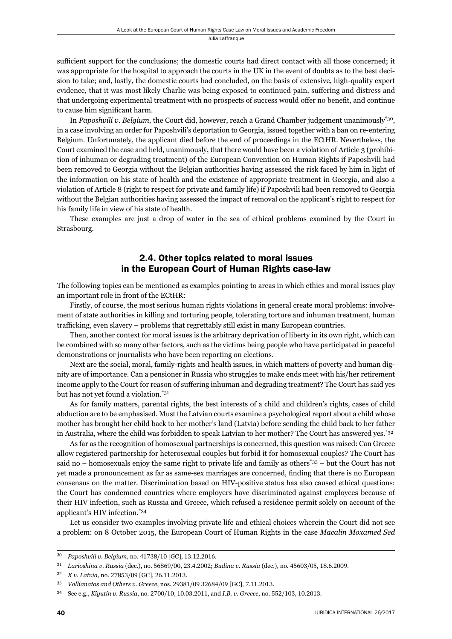sufficient support for the conclusions; the domestic courts had direct contact with all those concerned; it was appropriate for the hospital to approach the courts in the UK in the event of doubts as to the best decision to take; and, lastly, the domestic courts had concluded, on the basis of extensive, high-quality expert evidence, that it was most likely Charlie was being exposed to continued pain, suffering and distress and that undergoing experimental treatment with no prospects of success would offer no benefit, and continue to cause him significant harm.

In *Paposhvili v. Belgium*, the Court did, however, reach a Grand Chamber judgement unanimously\*30, in a case involving an order for Paposhvili's deportation to Georgia, issued together with a ban on re-entering Belgium. Unfortunately, the applicant died before the end of proceedings in the ECtHR. Nevertheless, the Court examined the case and held, unanimously, that there would have been a violation of Article 3 (prohibition of inhuman or degrading treatment) of the European Convention on Human Rights if Paposhvili had been removed to Georgia without the Belgian authorities having assessed the risk faced by him in light of the information on his state of health and the existence of appropriate treatment in Georgia, and also a violation of Article 8 (right to respect for private and family life) if Paposhvili had been removed to Georgia without the Belgian authorities having assessed the impact of removal on the applicant's right to respect for his family life in view of his state of health.

These examples are just a drop of water in the sea of ethical problems examined by the Court in Strasbourg.

#### 2.4. Other topics related to moral issues in the European Court of Human Rights case-law

The following topics can be mentioned as examples pointing to areas in which ethics and moral issues play an important role in front of the ECtHR:

Firstly, of course, the most serious human rights violations in general create moral problems: involvement of state authorities in killing and torturing people, tolerating torture and inhuman treatment, human trafficking, even slavery – problems that regrettably still exist in many European countries.

Then, another context for moral issues is the arbitrary deprivation of liberty in its own right, which can be combined with so many other factors, such as the victims being people who have participated in peaceful demonstrations or journalists who have been reporting on elections.

Next are the social, moral, family-rights and health issues, in which matters of poverty and human dignity are of importance. Can a pensioner in Russia who struggles to make ends meet with his/her retirement income apply to the Court for reason of suffering inhuman and degrading treatment? The Court has said yes but has not yet found a violation.\*31

As for family matters, parental rights, the best interests of a child and children's rights, cases of child abduction are to be emphasised. Must the Latvian courts examine a psychological report about a child whose mother has brought her child back to her mother's land (Latvia) before sending the child back to her father in Australia, where the child was forbidden to speak Latvian to her mother? The Court has answered yes.\*32

As far as the recognition of homosexual partnerships is concerned, this question was raised: Can Greece allow registered partnership for heterosexual couples but forbid it for homosexual couples? The Court has said no – homosexuals enjoy the same right to private life and family as others\*33 – but the Court has not yet made a pronouncement as far as same-sex marriages are concerned, finding that there is no European consensus on the matter. Discrimination based on HIV-positive status has also caused ethical questions: the Court has condemned countries where employers have discriminated against employees because of their HIV infection, such as Russia and Greece, which refused a residence permit solely on account of the applicant's HIV infection.\*34

Let us consider two examples involving private life and ethical choices wherein the Court did not see a problem: on 8 October 2015, the European Court of Human Rights in the case *Macalin Moxamed Sed* 

<sup>30</sup> *Paposhvili v. Belgium*, no.  $41738/10$  [GC], 13.12.2016.

<sup>&</sup>lt;sup>31</sup> *Larioshina v. Russia* (dec.), no. 56869/00, 23.4.2002; *Budina v. Russia* (dec.), no. 45603/05, 18.6.2009.

<sup>32</sup> *X v. Latvia*, no. 27853/09 [GC], 26.11.2013.

<sup>33</sup> *Vallianatos and Others v. Greece*, nos. 29381/09 32684/09 [GC], 7.11.2013.

<sup>34</sup> See e.g., *Kiyutin v. Russia*, no. 2700/10, 10.03.2011, and *I.B. v. Greece*, no. 552/103, 10.2013.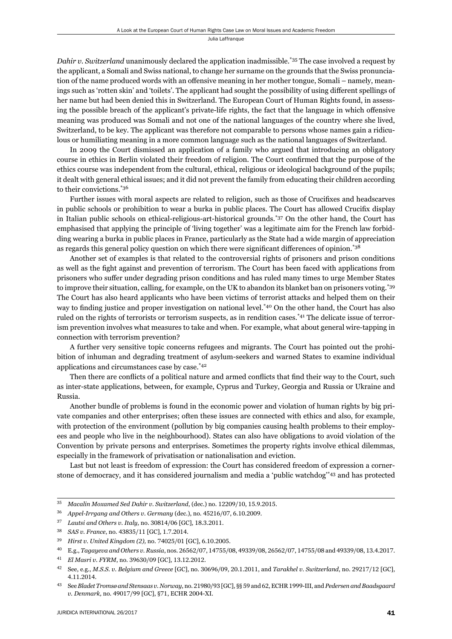*Dahir v. Switzerland* unanimously declared the application inadmissible.\*35 The case involved a request by the applicant, a Somali and Swiss national, to change her surname on the grounds that the Swiss pronunciation of the name produced words with an offensive meaning in her mother tongue, Somali – namely, meanings such as 'rotten skin' and 'toilets'. The applicant had sought the possibility of using different spellings of her name but had been denied this in Switzerland. The European Court of Human Rights found, in assessing the possible breach of the applicant's private-life rights, the fact that the language in which offensive meaning was produced was Somali and not one of the national languages of the country where she lived, Switzerland, to be key. The applicant was therefore not comparable to persons whose names gain a ridiculous or humiliating meaning in a more common language such as the national languages of Switzerland.

In 2009 the Court dismissed an application of a family who argued that introducing an obligatory course in ethics in Berlin violated their freedom of religion. The Court confirmed that the purpose of the ethics course was independent from the cultural, ethical, religious or ideological background of the pupils; it dealt with general ethical issues; and it did not prevent the family from educating their children according to their convictions.\*36

Further issues with moral aspects are related to religion, such as those of Crucifixes and headscarves in public schools or prohibition to wear a burka in public places. The Court has allowed Crucifix display in Italian public schools on ethical-religious-art-historical grounds.\*37 On the other hand, the Court has emphasised that applying the principle of 'living together' was a legitimate aim for the French law forbidding wearing a burka in public places in France, particularly as the State had a wide margin of appreciation as regards this general policy question on which there were significant differences of opinion.<sup>\*38</sup>

Another set of examples is that related to the controversial rights of prisoners and prison conditions as well as the fight against and prevention of terrorism. The Court has been faced with applications from prisoners who suffer under degrading prison conditions and has ruled many times to urge Member States to improve their situation, calling, for example, on the UK to abandon its blanket ban on prisoners voting.\*39 The Court has also heard applicants who have been victims of terrorist attacks and helped them on their way to finding justice and proper investigation on national level.<sup>\*40</sup> On the other hand, the Court has also ruled on the rights of terrorists or terrorism suspects, as in rendition cases.\*41 The delicate issue of terrorism prevention involves what measures to take and when. For example, what about general wire-tapping in connection with terrorism prevention?

A further very sensitive topic concerns refugees and migrants. The Court has pointed out the prohibition of inhuman and degrading treatment of asylum-seekers and warned States to examine individual applications and circumstances case by case.\*42

Then there are conflicts of a political nature and armed conflicts that find their way to the Court, such as inter-state applications, between, for example, Cyprus and Turkey, Georgia and Russia or Ukraine and Russia.

Another bundle of problems is found in the economic power and violation of human rights by big private companies and other enterprises; often these issues are connected with ethics and also, for example, with protection of the environment (pollution by big companies causing health problems to their employees and people who live in the neighbourhood). States can also have obligations to avoid violation of the Convention by private persons and enterprises. Sometimes the property rights involve ethical dilemmas, especially in the framework of privatisation or nationalisation and eviction.

Last but not least is freedom of expression: the Court has considered freedom of expression a cornerstone of democracy, and it has considered journalism and media a 'public watchdog'\*43 and has protected

<sup>&</sup>lt;sup>35</sup> Macalin Moxamed Sed Dahir v. Switzerland, (dec.) no. 12209/10, 15.9.2015.

<sup>36</sup> *Appel-Irrgang and Others v. Germany* (dec.), no. 45216/07, 6.10.2009.

<sup>37</sup> *Lautsi and Others v. Italy, no.*  $30814/06$  [GC], 18.3.2011.

<sup>38</sup> *SAS v. France*, no. 43835/11 [GC], 1.7.2014.

<sup>39</sup> *Hirst v. United Kingdom (2), no.*  $74025/01$  [GC], 6.10.2005.

 $^{40}$  E.g., *Tagayeva and Others v. Russia*, nos. 26562/07, 14755/08, 49339/08, 26562/07, 14755/08 and 49339/08, 13.4.2017.

<sup>&</sup>lt;sup>41</sup> El Masri v. FYRM, no. 39630/09 [GC], 13.12.2012.

ɵɳ See, e.g., *M.S.S. v. Belgium and Greece* [GC], no. ɴɱɷɺɷ/ɱɺ, ɳɱ.ɲ.ɳɱɲɲ, and *Tarakhel v. Switzerland*, no. ɳɺɳɲɸ/ɲɳ [GC], 4.11.2014.

<sup>&</sup>lt;sup>43</sup> See *Bladet Tromsø and Stensaas v. Norway*, no. 21980/93 [GC], §§ 59 and 62, ECHR 1999-III, and *Pedersen and Baadsgaard v. Denmark, no. 49017/99* [GC], §71, ECHR 2004-XI.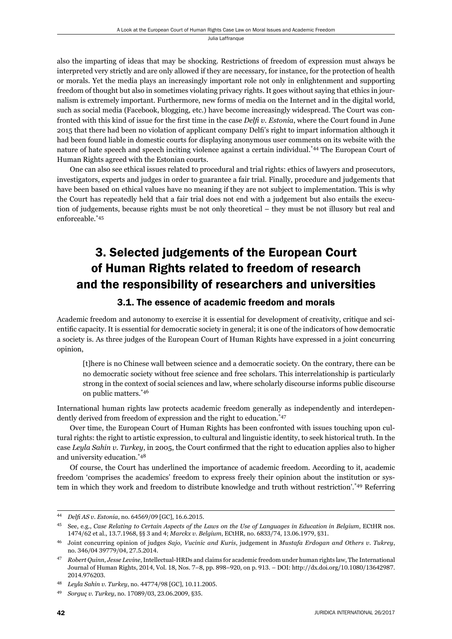also the imparting of ideas that may be shocking. Restrictions of freedom of expression must always be interpreted very strictly and are only allowed if they are necessary, for instance, for the protection of health or morals. Yet the media plays an increasingly important role not only in enlightenment and supporting freedom of thought but also in sometimes violating privacy rights. It goes without saying that ethics in journalism is extremely important. Furthermore, new forms of media on the Internet and in the digital world, such as social media (Facebook, blogging, etc.) have become increasingly widespread. The Court was confronted with this kind of issue for the first time in the case *Delfi v. Estonia*, where the Court found in June 2015 that there had been no violation of applicant company Delfi 's right to impart information although it had been found liable in domestic courts for displaying anonymous user comments on its website with the nature of hate speech and speech inciting violence against a certain individual.\*44 The European Court of Human Rights agreed with the Estonian courts.

One can also see ethical issues related to procedural and trial rights: ethics of lawyers and prosecutors, investigators, experts and judges in order to guarantee a fair trial. Finally, procedure and judgements that have been based on ethical values have no meaning if they are not subject to implementation. This is why the Court has repeatedly held that a fair trial does not end with a judgement but also entails the execution of judgements, because rights must be not only theoretical – they must be not illusory but real and enforceable.\*45

# 3. Selected judgements of the European Court of Human Rights related to freedom of research and the responsibility of researchers and universities

#### 3.1. The essence of academic freedom and morals

Academic freedom and autonomy to exercise it is essential for development of creativity, critique and scientific capacity. It is essential for democratic society in general; it is one of the indicators of how democratic a society is. As three judges of the European Court of Human Rights have expressed in a joint concurring opinion,

[t]here is no Chinese wall between science and a democratic society. On the contrary, there can be no democratic society without free science and free scholars. This interrelationship is particularly strong in the context of social sciences and law, where scholarly discourse informs public discourse on public matters.\*46

International human rights law protects academic freedom generally as independently and interdependently derived from freedom of expression and the right to education.\*47

Over time, the European Court of Human Rights has been confronted with issues touching upon cultural rights: the right to artistic expression, to cultural and linguistic identity, to seek historical truth. In the case *Leyla Sahin v. Turkey*, in 2005, the Court confirmed that the right to education applies also to higher and university education.\*48

Of course, the Court has underlined the importance of academic freedom. According to it, academic freedom 'comprises the academics' freedom to express freely their opinion about the institution or system in which they work and freedom to distribute knowledge and truth without restriction'.\*49 Referring

<sup>44</sup> Delfi AS v. Estonia, no. 64569/09 [GC], 16.6.2015.

ɵɶ See, e.g., *Case Relating to Certain Aspects of the Laws on the Use of Languages in Education in Belgium*, ECtHR nos. 1474/62 et al., 13.7.1968, §§ 3 and 4; *Marckx v. Belgium*, ECtHR, no. 6833/74, 13.06.1979, §31.

ɵɷ Joint concurring opinion of judges *Sajo, Vucinic and Kuris*, judgement in *Mustafa Erdogan and Others v. Tukrey*, no. 346/04 39779/04, 27.5.2014.

ɵɸ *Robert Quinn, Jesse Levine*, Intellectual-HRDs and claims for academic freedom under human rights law, The International Journal of Human Rights, 2014, Vol. 18, Nos. 7-8, pp. 898-920, on p. 913. - DOI: http://dx.doi.org/10.1080/13642987. 2014.976203.

<sup>&</sup>lt;sup>48</sup> *Leyla Sahin v. Turkey*, no.  $44774/98$  [GC], 10.11.2005.

<sup>&</sup>lt;sup>49</sup> *Sorguç v. Turkey*, no. 17089/03, 23.06.2009, §35.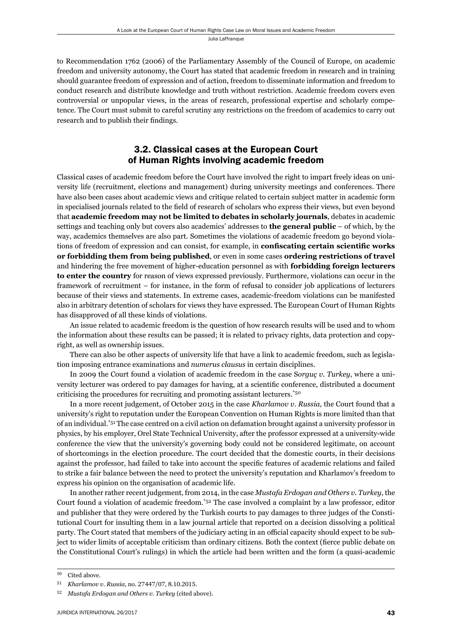to Recommendation 1762 (2006) of the Parliamentary Assembly of the Council of Europe, on academic freedom and university autonomy, the Court has stated that academic freedom in research and in training should guarantee freedom of expression and of action, freedom to disseminate information and freedom to conduct research and distribute knowledge and truth without restriction. Academic freedom covers even controversial or unpopular views, in the areas of research, professional expertise and scholarly competence. The Court must submit to careful scrutiny any restrictions on the freedom of academics to carry out research and to publish their findings.

#### 3.2. Classical cases at the European Court of Human Rights involving academic freedom

Classical cases of academic freedom before the Court have involved the right to impart freely ideas on university life (recruitment, elections and management) during university meetings and conferences. There have also been cases about academic views and critique related to certain subject matter in academic form in specialised journals related to the field of research of scholars who express their views, but even beyond that **academic freedom may not be limited to debates in scholarly journals**, debates in academic settings and teaching only but covers also academics' addresses to **the general public** – of which, by the way, academics themselves are also part. Sometimes the violations of academic freedom go beyond violations of freedom of expression and can consist, for example, in **confiscating certain scientific works or forbidding them from being published**, or even in some cases **ordering restrictions of travel** and hindering the free movement of higher-education personnel as with **forbidding foreign lecturers to enter the country** for reason of views expressed previously. Furthermore, violations can occur in the framework of recruitment – for instance, in the form of refusal to consider job applications of lecturers because of their views and statements. In extreme cases, academic-freedom violations can be manifested also in arbitrary detention of scholars for views they have expressed. The European Court of Human Rights has disapproved of all these kinds of violations.

An issue related to academic freedom is the question of how research results will be used and to whom the information about these results can be passed; it is related to privacy rights, data protection and copyright, as well as ownership issues.

There can also be other aspects of university life that have a link to academic freedom, such as legislation imposing entrance examinations and *numerus clausus* in certain disciplines.

In 2009 the Court found a violation of academic freedom in the case S*orguç v. Turkey*, where a university lecturer was ordered to pay damages for having, at a scientific conference, distributed a document criticising the procedures for recruiting and promoting assistant lecturers.\*50

In a more recent judgement, of October 2015 in the case *Kharlamov v. Russia,* the Court found that a university's right to reputation under the European Convention on Human Rights is more limited than that of an individual.\*51 The case centred on a civil action on defamation brought against a university professor in physics, by his employer, Orel State Technical University, after the professor expressed at a university-wide conference the view that the university's governing body could not be considered legitimate, on account of shortcomings in the election procedure. The court decided that the domestic courts, in their decisions against the professor, had failed to take into account the specific features of academic relations and failed to strike a fair balance between the need to protect the university's reputation and Kharlamov's freedom to express his opinion on the organisation of academic life.

In another rather recent judgement, from 2014, in the case *Mustafa Erdogan and Others v. Turkey*, the Court found a violation of academic freedom.\*52 The case involved a complaint by a law professor, editor and publisher that they were ordered by the Turkish courts to pay damages to three judges of the Constitutional Court for insulting them in a law journal article that reported on a decision dissolving a political party. The Court stated that members of the judiciary acting in an official capacity should expect to be subject to wider limits of acceptable criticism than ordinary citizens. Both the context (fierce public debate on the Constitutional Court's rulings) in which the article had been written and the form (a quasi-academic

ɶɱ Cited above.

<sup>51</sup> *Kharlamov v. Russia*, no. 27447/07, 8.10.2015.

ɶɳ *Mustafa Erdogan and Others v. Turkey* (cited above).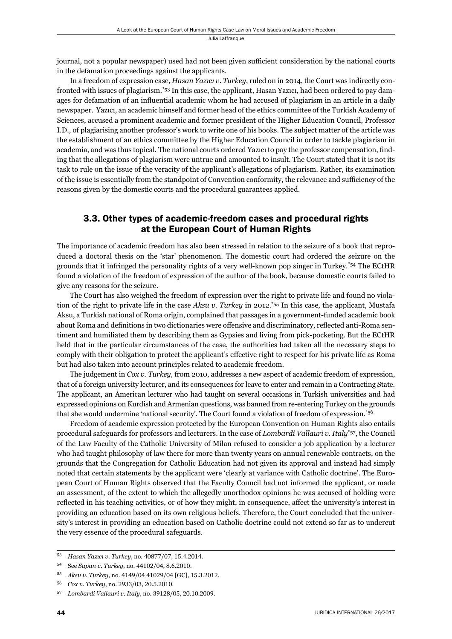Julia Laffranque

journal, not a popular newspaper) used had not been given sufficient consideration by the national courts in the defamation proceedings against the applicants.

In a freedom of expression case, *Hasan Yazıcı v. Turkey*, ruled on in 2014, the Court was indirectly confronted with issues of plagiarism.\*53 In this case, the applicant, Hasan Yazıcı, had been ordered to pay damages for defamation of an influential academic whom he had accused of plagiarism in an article in a daily newspaper. Yazıcı, an academic himself and former head of the ethics committee of the Turkish Academy of Sciences, accused a prominent academic and former president of the Higher Education Council, Professor I.D., of plagiarising another professor's work to write one of his books. The subject matter of the article was the establishment of an ethics committee by the Higher Education Council in order to tackle plagiarism in academia, and was thus topical. The national courts ordered Yazıcı to pay the professor compensation, finding that the allegations of plagiarism were untrue and amounted to insult. The Court stated that it is not its task to rule on the issue of the veracity of the applicant's allegations of plagiarism. Rather, its examination of the issue is essentially from the standpoint of Convention conformity, the relevance and sufficiency of the reasons given by the domestic courts and the procedural guarantees applied.

#### 3.3. Other types of academic-freedom cases and procedural rights at the European Court of Human Rights

The importance of academic freedom has also been stressed in relation to the seizure of a book that reproduced a doctoral thesis on the 'star' phenomenon. The domestic court had ordered the seizure on the grounds that it infringed the personality rights of a very well-known pop singer in Turkey.\*54 The ECtHR found a violation of the freedom of expression of the author of the book, because domestic courts failed to give any reasons for the seizure.

The Court has also weighed the freedom of expression over the right to private life and found no violation of the right to private life in the case *Aksu v. Turkey* in 2012.\*55 In this case, the applicant, Mustafa Aksu, a Turkish national of Roma origin, complained that passages in a government-funded academic book about Roma and definitions in two dictionaries were offensive and discriminatory, reflected anti-Roma sentiment and humiliated them by describing them as Gypsies and living from pick-pocketing. But the ECtHR held that in the particular circumstances of the case, the authorities had taken all the necessary steps to comply with their obligation to protect the applicant's effective right to respect for his private life as Roma but had also taken into account principles related to academic freedom.

The judgement in *Cox v. Turkey*, from 2010, addresses a new aspect of academic freedom of expression, that of a foreign university lecturer, and its consequences for leave to enter and remain in a Contracting State. The applicant, an American lecturer who had taught on several occasions in Turkish universities and had expressed opinions on Kurdish and Armenian questions, was banned from re-entering Turkey on the grounds that she would undermine 'national security'. The Court found a violation of freedom of expression.\*56

Freedom of academic expression protected by the European Convention on Human Rights also entails procedural safeguards for professors and lecturers. In the case of *Lombardi Vallauri v. Italy*\*57, the Council of the Law Faculty of the Catholic University of Milan refused to consider a job application by a lecturer who had taught philosophy of law there for more than twenty years on annual renewable contracts, on the grounds that the Congregation for Catholic Education had not given its approval and instead had simply noted that certain statements by the applicant were 'clearly at variance with Catholic doctrine'. The European Court of Human Rights observed that the Faculty Council had not informed the applicant, or made an assessment, of the extent to which the allegedly unorthodox opinions he was accused of holding were reflected in his teaching activities, or of how they might, in consequence, affect the university's interest in providing an education based on its own religious beliefs. Therefore, the Court concluded that the university's interest in providing an education based on Catholic doctrine could not extend so far as to undercut the very essence of the procedural safeguards.

<sup>53</sup> Hasan Yazıcı v. Turkey, no.  $40877/07$ , 15.4.2014.

<sup>54</sup> See Sapan v. Turkey, no.  $44102/04$ , 8.6.2010.

<sup>55</sup> Aksu v. Turkey, no. 4149/04 41029/04 [GC], 15.3.2012.

 $56$  *Cox v. Turkey*, no. 2933/03, 20.5.2010.

 $^{57}$  *Lombardi Vallauri v. Italy*, no. 39128/05, 20.10.2009.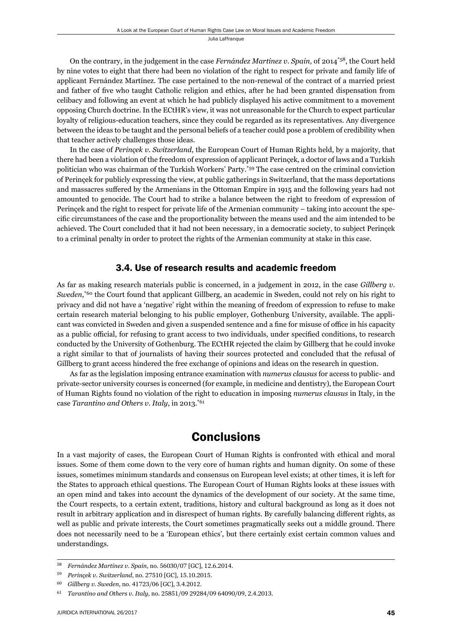On the contrary, in the judgement in the case *Fernández Martínez v. Spain*, of 2014\*58, the Court held by nine votes to eight that there had been no violation of the right to respect for private and family life of applicant Fernández Martínez. The case pertained to the non-renewal of the contract of a married priest and father of five who taught Catholic religion and ethics, after he had been granted dispensation from celibacy and following an event at which he had publicly displayed his active commitment to a movement opposing Church doctrine. In the ECtHR's view, it was not unreasonable for the Church to expect particular loyalty of religious-education teachers, since they could be regarded as its representatives. Any divergence between the ideas to be taught and the personal beliefs of a teacher could pose a problem of credibility when that teacher actively challenges those ideas.

In the case of *Perinçek v. Switzerland*, the European Court of Human Rights held, by a majority, that there had been a violation of the freedom of expression of applicant Perinçek, a doctor of laws and a Turkish politician who was chairman of the Turkish Workers' Party.\*59 The case centred on the criminal conviction of Perinçek for publicly expressing the view, at public gatherings in Switzerland, that the mass deportations and massacres suffered by the Armenians in the Ottoman Empire in 1915 and the following years had not amounted to genocide. The Court had to strike a balance between the right to freedom of expression of Perinçek and the right to respect for private life of the Armenian community – taking into account the specific circumstances of the case and the proportionality between the means used and the aim intended to be achieved. The Court concluded that it had not been necessary, in a democratic society, to subject Perinçek to a criminal penalty in order to protect the rights of the Armenian community at stake in this case.

#### 3.4. Use of research results and academic freedom

As far as making research materials public is concerned, in a judgement in 2012, in the case *Gillberg v.*  Sweden,<sup>\*60</sup> the Court found that applicant Gillberg, an academic in Sweden, could not rely on his right to privacy and did not have a 'negative' right within the meaning of freedom of expression to refuse to make certain research material belonging to his public employer, Gothenburg University, available. The applicant was convicted in Sweden and given a suspended sentence and a fine for misuse of office in his capacity as a public official, for refusing to grant access to two individuals, under specified conditions, to research conducted by the University of Gothenburg. The ECtHR rejected the claim by Gillberg that he could invoke a right similar to that of journalists of having their sources protected and concluded that the refusal of Gillberg to grant access hindered the free exchange of opinions and ideas on the research in question.

As far as the legislation imposing entrance examination with *numerus clausus* for access to public- and private-sector university courses is concerned (for example, in medicine and dentistry), the European Court of Human Rights found no violation of the right to education in imposing *numerus clausus* in Italy, in the case *Tarantino and Others v. Italy*, in 2013.\*61

## **Conclusions**

In a vast majority of cases, the European Court of Human Rights is confronted with ethical and moral issues. Some of them come down to the very core of human rights and human dignity. On some of these issues, sometimes minimum standards and consensus on European level exists; at other times, it is left for the States to approach ethical questions. The European Court of Human Rights looks at these issues with an open mind and takes into account the dynamics of the development of our society. At the same time, the Court respects, to a certain extent, traditions, history and cultural background as long as it does not result in arbitrary application and in disrespect of human rights. By carefully balancing different rights, as well as public and private interests, the Court sometimes pragmatically seeks out a middle ground. There does not necessarily need to be a 'European ethics', but there certainly exist certain common values and understandings.

<sup>&</sup>lt;sup>58</sup> Fernández Martínez v. Spain, no. 56030/07 [GC], 12.6.2014.

<sup>59</sup> Perinçek v. Switzerland, no. 27510 [GC], 15.10.2015.

<sup>60</sup> *Gillberg v. Sweden, no.*  $41723/06$  [GC], 3.4.2012.

<sup>61</sup> *Tarantino and Others v. Italy, no.* 25851/09 29284/09 64090/09, 2.4.2013.